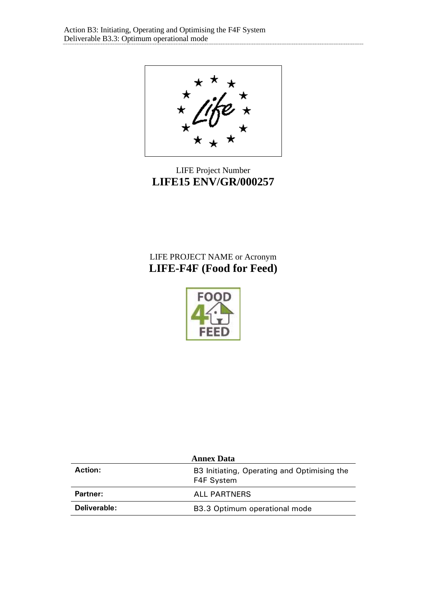

# LIFE Project Number **LIFE15 ENV/GR/000257**

# LIFE PROJECT NAME or Acronym **LIFE-F4F (Food for Feed)**



| <b>Annex Data</b> |                                                           |  |
|-------------------|-----------------------------------------------------------|--|
| <b>Action:</b>    | B3 Initiating, Operating and Optimising the<br>F4F System |  |
| Partner:          | ALL PARTNERS                                              |  |
| Deliverable:      | B3.3 Optimum operational mode                             |  |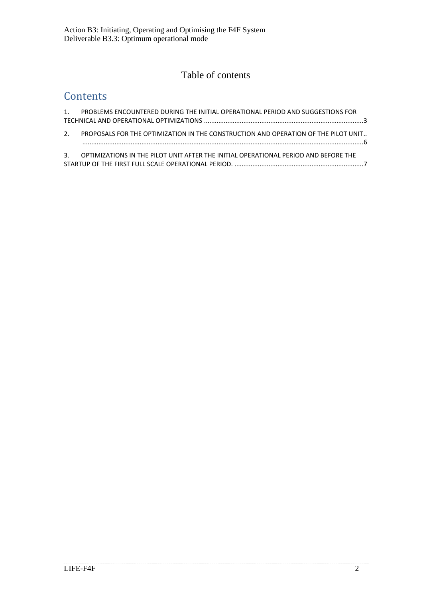# Table of contents

# **Contents**

| 1. PROBLEMS ENCOUNTERED DURING THE INITIAL OPERATIONAL PERIOD AND SUGGESTIONS FOR      |  |
|----------------------------------------------------------------------------------------|--|
| 2. PROPOSALS FOR THE OPTIMIZATION IN THE CONSTRUCTION AND OPERATION OF THE PILOT UNIT  |  |
| 3. OPTIMIZATIONS IN THE PILOT UNIT AFTER THE INITIAL OPERATIONAL PERIOD AND BEFORE THE |  |
|                                                                                        |  |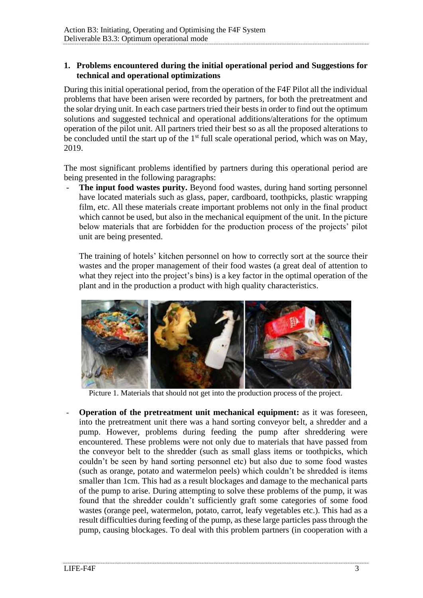## <span id="page-2-0"></span>**1. Problems encountered during the initial operational period and Suggestions for technical and operational optimizations**

During this initial operational period, from the operation of the F4F Pilot all the individual problems that have been arisen were recorded by partners, for both the pretreatment and the solar drying unit. In each case partners tried their bests in order to find out the optimum solutions and suggested technical and operational additions/alterations for the optimum operation of the pilot unit. All partners tried their best so as all the proposed alterations to be concluded until the start up of the  $1<sup>st</sup>$  full scale operational period, which was on May, 2019.

The most significant problems identified by partners during this operational period are being presented in the following paragraphs:

The input food wastes purity. Beyond food wastes, during hand sorting personnel have located materials such as glass, paper, cardboard, toothpicks, plastic wrapping film, etc. All these materials create important problems not only in the final product which cannot be used, but also in the mechanical equipment of the unit. In the picture below materials that are forbidden for the production process of the projects' pilot unit are being presented.

The training of hotels' kitchen personnel on how to correctly sort at the source their wastes and the proper management of their food wastes (a great deal of attention to what they reject into the project's bins) is a key factor in the optimal operation of the plant and in the production a product with high quality characteristics.



Picture 1. Materials that should not get into the production process of the project.

**Operation of the pretreatment unit mechanical equipment:** as it was foreseen, into the pretreatment unit there was a hand sorting conveyor belt, a shredder and a pump. However, problems during feeding the pump after shreddering were encountered. These problems were not only due to materials that have passed from the conveyor belt to the shredder (such as small glass items or toothpicks, which couldn't be seen by hand sorting personnel etc) but also due to some food wastes (such as orange, potato and watermelon peels) which couldn't be shredded is items smaller than 1cm. This had as a result blockages and damage to the mechanical parts of the pump to arise. During attempting to solve these problems of the pump, it was found that the shredder couldn't sufficiently graft some categories of some food wastes (orange peel, watermelon, potato, carrot, leafy vegetables etc.). This had as a result difficulties during feeding of the pump, as these large particles pass through the pump, causing blockages. To deal with this problem partners (in cooperation with a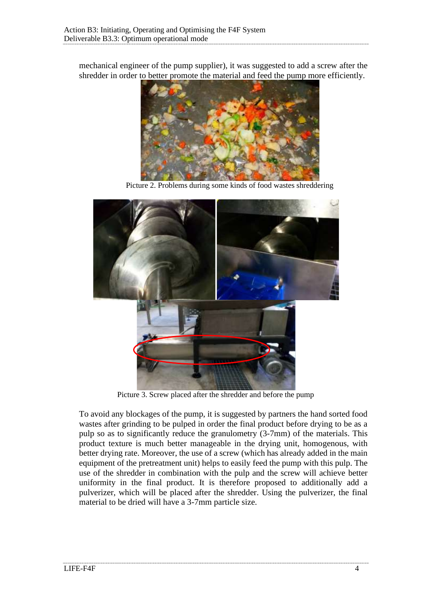mechanical engineer of the pump supplier), it was suggested to add a screw after the shredder in order to better promote the material and feed the pump more efficiently.



Picture 2. Problems during some kinds of food wastes shreddering



Picture 3. Screw placed after the shredder and before the pump

To avoid any blockages of the pump, it is suggested by partners the hand sorted food wastes after grinding to be pulped in order the final product before drying to be as a pulp so as to significantly reduce the granulometry (3-7mm) of the materials. This product texture is much better manageable in the drying unit, homogenous, with better drying rate. Moreover, the use of a screw (which has already added in the main equipment of the pretreatment unit) helps to easily feed the pump with this pulp. The use of the shredder in combination with the pulp and the screw will achieve better uniformity in the final product. It is therefore proposed to additionally add a pulverizer, which will be placed after the shredder. Using the pulverizer, the final material to be dried will have a 3-7mm particle size.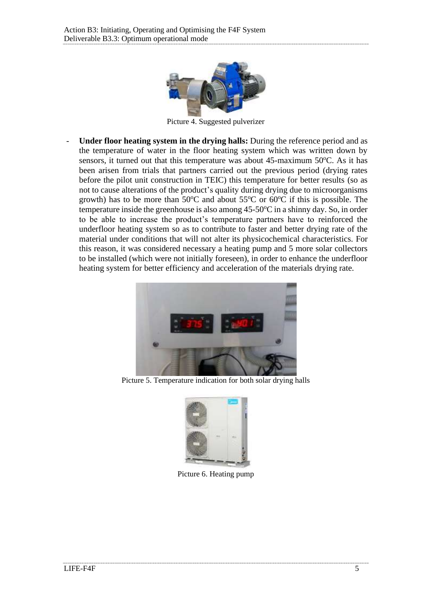

Picture 4. Suggested pulverizer

- **Under floor heating system in the drying halls:** During the reference period and as the temperature of water in the floor heating system which was written down by sensors, it turned out that this temperature was about  $45$ -maximum  $50^{\circ}$ C. As it has been arisen from trials that partners carried out the previous period (drying rates before the pilot unit construction in TEIC) this temperature for better results (so as not to cause alterations of the product's quality during drying due to microorganisms growth) has to be more than  $50^{\circ}$ C and about  $55^{\circ}$ C or  $60^{\circ}$ C if this is possible. The temperature inside the greenhouse is also among  $45-50^{\circ}\text{C}$  in a shinny day. So, in order to be able to increase the product's temperature partners have to reinforced the underfloor heating system so as to contribute to faster and better drying rate of the material under conditions that will not alter its physicochemical characteristics. For this reason, it was considered necessary a heating pump and 5 more solar collectors to be installed (which were not initially foreseen), in order to enhance the underfloor heating system for better efficiency and acceleration of the materials drying rate.



Picture 5. Temperature indication for both solar drying halls



Picture 6. Heating pump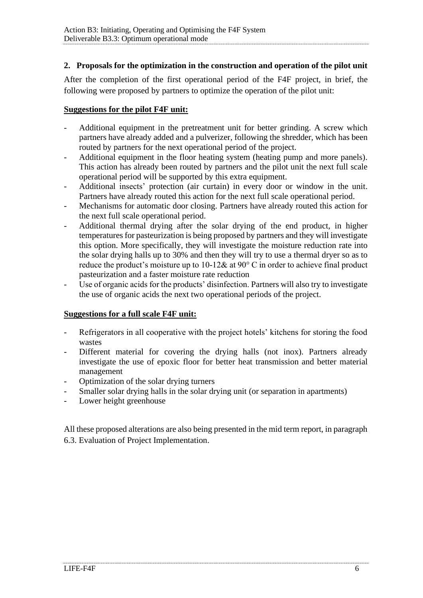# <span id="page-5-0"></span>**2. Proposals for the optimization in the construction and operation of the pilot unit**

After the completion of the first operational period of the F4F project, in brief, the following were proposed by partners to optimize the operation of the pilot unit:

## **Suggestions for the pilot F4F unit:**

- Additional equipment in the pretreatment unit for better grinding. A screw which partners have already added and a pulverizer, following the shredder, which has been routed by partners for the next operational period of the project.
- Additional equipment in the floor heating system (heating pump and more panels). This action has already been routed by partners and the pilot unit the next full scale operational period will be supported by this extra equipment.
- Additional insects' protection (air curtain) in every door or window in the unit. Partners have already routed this action for the next full scale operational period.
- Mechanisms for automatic door closing. Partners have already routed this action for the next full scale operational period.
- Additional thermal drying after the solar drying of the end product, in higher temperatures for pasteurization is being proposed by partners and they will investigate this option. More specifically, they will investigate the moisture reduction rate into the solar drying halls up to 30% and then they will try to use a thermal dryer so as to reduce the product's moisture up to 10-12& at 90° C in order to achieve final product pasteurization and a faster moisture rate reduction
- Use of organic acids for the products' disinfection. Partners will also try to investigate the use of organic acids the next two operational periods of the project.

## **Suggestions for a full scale F4F unit:**

- Refrigerators in all cooperative with the project hotels' kitchens for storing the food wastes
- Different material for covering the drying halls (not inox). Partners already investigate the use of epoxic floor for better heat transmission and better material management
- Optimization of the solar drying turners
- Smaller solar drying halls in the solar drying unit (or separation in apartments)
- Lower height greenhouse

All these proposed alterations are also being presented in the mid term report, in paragraph 6.3. Evaluation of Project Implementation.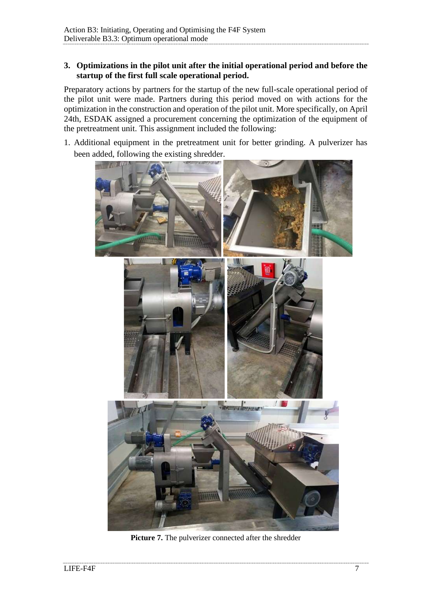## <span id="page-6-0"></span>**3. Optimizations in the pilot unit after the initial operational period and before the startup of the first full scale operational period.**

Preparatory actions by partners for the startup of the new full-scale operational period of the pilot unit were made. Partners during this period moved on with actions for the optimization in the construction and operation of the pilot unit. More specifically, on April 24th, ESDAK assigned a procurement concerning the optimization of the equipment of the pretreatment unit. This assignment included the following:

1. Additional equipment in the pretreatment unit for better grinding. A pulverizer has been added, following the existing shredder.



Picture 7. The pulverizer connected after the shredder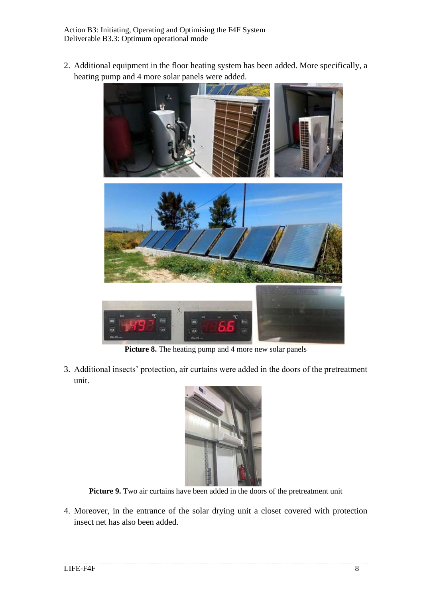2. Additional equipment in the floor heating system has been added. More specifically, a heating pump and 4 more solar panels were added.



Picture 8. The heating pump and 4 more new solar panels

3. Additional insects' protection, air curtains were added in the doors of the pretreatment unit.



Picture 9. Two air curtains have been added in the doors of the pretreatment unit

4. Moreover, in the entrance of the solar drying unit a closet covered with protection insect net has also been added.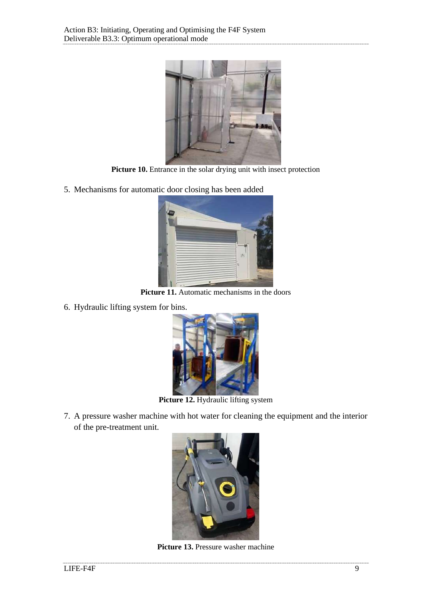

Picture 10. Entrance in the solar drying unit with insect protection

5. Mechanisms for automatic door closing has been added



Picture 11. Automatic mechanisms in the doors

6. Hydraulic lifting system for bins.



Picture 12. Hydraulic lifting system

7. A pressure washer machine with hot water for cleaning the equipment and the interior of the pre-treatment unit.



Picture 13. Pressure washer machine